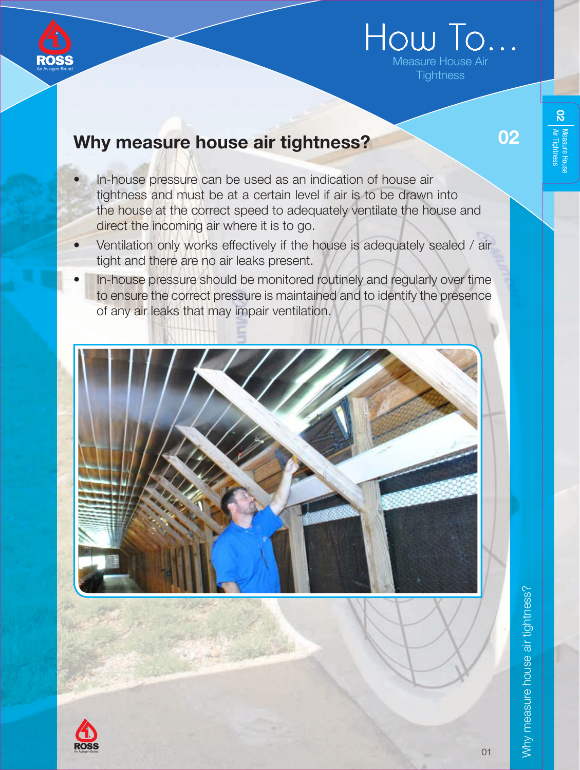

# How To. Measure House Air **Tightness**

## Why measure house air tightness?

- In-house pressure can be used as an indication of house air tightness and must be at a certain level if air is to be drawn into the house at the correct speed to adequately ventilate the house and direct the incoming air where it is to go.
- Ventilation only works effectively if the house is adequately sealed / air tight and there are no air leaks present.
- In-house pressure should be monitored routinely and regularly over time to ensure the correct pressure is maintained and to identify the presence of any air leaks that may impair ventilation.





D2 | Measure House<br>D2 | Air. Tintherroce

 $\overline{8}$ 

02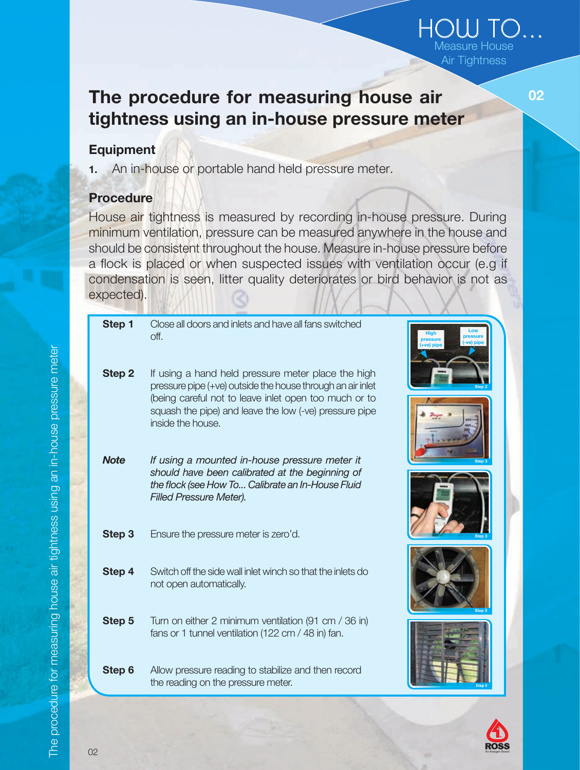### The procedure for measuring house air tightness using an in-house pressure meter

#### Equipment

1. An in-house or portable hand held pressure meter.

### Procedure

House air tightness is measured by recording in-house pressure. During minimum ventilation, pressure can be measured anywhere in the house and should be consistent throughout the house. Measure in-house pressure before a flock is placed or when suspected issues with ventilation occur (e.g if condensation is seen, litter quality deteriorates or bird behavior is not as expected).

| Step 1      | Close all doors and inlets and have all fans switched<br>off.                                                                        | pressure |
|-------------|--------------------------------------------------------------------------------------------------------------------------------------|----------|
| Step 2      | If using a hand held pressure meter place the high<br>pressure pipe (+ve) outside the house through an air inlet                     |          |
|             | (being careful not to leave inlet open too much or to<br>squash the pipe) and leave the low (-ve) pressure pipe<br>inside the house. |          |
| <b>Note</b> | If using a mounted in-house pressure meter it<br>should have been calibrated at the beginning of                                     | Step 3   |
| Step 3      | the flock (see How To Calibrate an In-House Fluid<br><b>Filled Pressure Meter).</b><br>Ensure the pressure meter is zero'd.          |          |
|             |                                                                                                                                      |          |
| Step 4      | Switch off the side wall inlet winch so that the inlets do<br>not open automatically.                                                |          |
| Step 5      | Turn on either 2 minimum ventilation (91 cm / 36 in)<br>fans or 1 tunnel ventilation (122 cm / 48 in) fan.                           |          |
| Step 6      | Allow pressure reading to stabilize and then record<br>the reading on the pressure meter.                                            |          |



HOW TO... Measure House Air Tightness